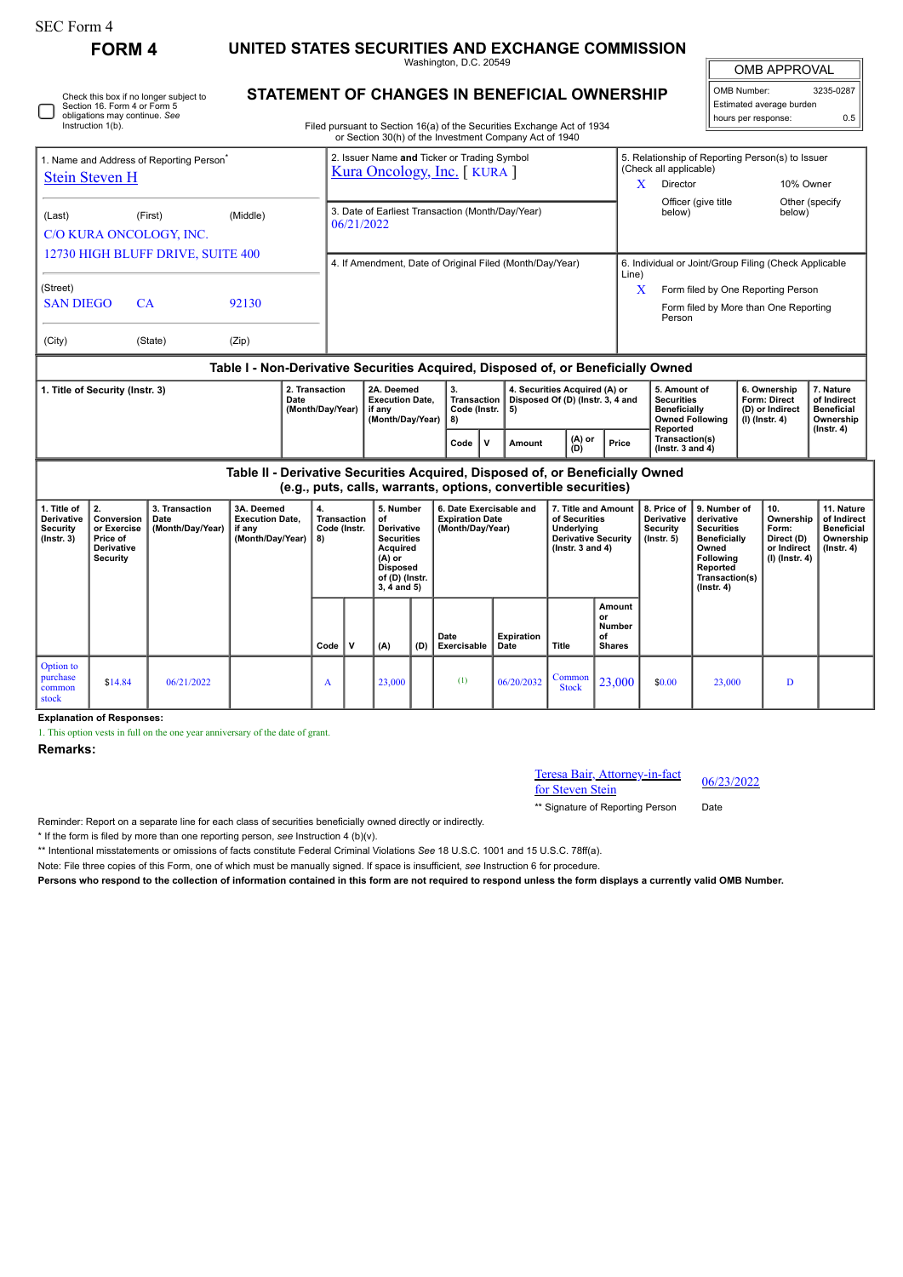| SEC Form 4                                                                                                                                      | <b>FORM 4</b>                                                                                                                |                                                                                                                                                                                  |                                                                               |                                                          |                                                                                                 |              |                                                                                                                                           |                                                                                                                                 |                                                                       |        |                                                                   |                                                                                                                   |                                                                                                           |                                                                         |                                                                                                                                                |                                                                            |                                                                                |                                                                                 |
|-------------------------------------------------------------------------------------------------------------------------------------------------|------------------------------------------------------------------------------------------------------------------------------|----------------------------------------------------------------------------------------------------------------------------------------------------------------------------------|-------------------------------------------------------------------------------|----------------------------------------------------------|-------------------------------------------------------------------------------------------------|--------------|-------------------------------------------------------------------------------------------------------------------------------------------|---------------------------------------------------------------------------------------------------------------------------------|-----------------------------------------------------------------------|--------|-------------------------------------------------------------------|-------------------------------------------------------------------------------------------------------------------|-----------------------------------------------------------------------------------------------------------|-------------------------------------------------------------------------|------------------------------------------------------------------------------------------------------------------------------------------------|----------------------------------------------------------------------------|--------------------------------------------------------------------------------|---------------------------------------------------------------------------------|
|                                                                                                                                                 |                                                                                                                              |                                                                                                                                                                                  | UNITED STATES SECURITIES AND EXCHANGE COMMISSION<br>Washington, D.C. 20549    |                                                          |                                                                                                 |              |                                                                                                                                           |                                                                                                                                 |                                                                       |        |                                                                   |                                                                                                                   |                                                                                                           |                                                                         |                                                                                                                                                | <b>OMB APPROVAL</b>                                                        |                                                                                |                                                                                 |
|                                                                                                                                                 | Check this box if no longer subject to<br>Section 16. Form 4 or Form 5<br>obligations may continue. See<br>Instruction 1(b). | STATEMENT OF CHANGES IN BENEFICIAL OWNERSHIP<br>Filed pursuant to Section 16(a) of the Securities Exchange Act of 1934<br>or Section 30(h) of the Investment Company Act of 1940 |                                                                               |                                                          |                                                                                                 |              |                                                                                                                                           |                                                                                                                                 |                                                                       |        |                                                                   |                                                                                                                   | OMB Number:<br>hours per response:                                                                        |                                                                         |                                                                                                                                                | Estimated average burden                                                   | 3235-0287<br>0.5                                                               |                                                                                 |
| 1. Name and Address of Reporting Person <sup>7</sup><br><b>Stein Steven H</b>                                                                   |                                                                                                                              |                                                                                                                                                                                  |                                                                               |                                                          | 2. Issuer Name and Ticker or Trading Symbol<br>Kura Oncology, Inc. [KURA]                       |              |                                                                                                                                           |                                                                                                                                 |                                                                       |        |                                                                   |                                                                                                                   |                                                                                                           | (Check all applicable)<br>Director<br>X                                 |                                                                                                                                                | 5. Relationship of Reporting Person(s) to Issuer<br>10% Owner              |                                                                                |                                                                                 |
| (Middle)<br>(Last)<br>(First)<br>C/O KURA ONCOLOGY, INC.                                                                                        |                                                                                                                              |                                                                                                                                                                                  |                                                                               |                                                          | Officer (give title<br>3. Date of Earliest Transaction (Month/Day/Year)<br>below)<br>06/21/2022 |              |                                                                                                                                           |                                                                                                                                 |                                                                       |        |                                                                   |                                                                                                                   |                                                                                                           |                                                                         |                                                                                                                                                |                                                                            | Other (specify<br>below)                                                       |                                                                                 |
| (Street)                                                                                                                                        | 12730 HIGH BLUFF DRIVE, SUITE 400                                                                                            |                                                                                                                                                                                  |                                                                               | 4. If Amendment, Date of Original Filed (Month/Day/Year) |                                                                                                 |              |                                                                                                                                           |                                                                                                                                 |                                                                       |        |                                                                   |                                                                                                                   | 6. Individual or Joint/Group Filing (Check Applicable<br>Line)<br>X<br>Form filed by One Reporting Person |                                                                         |                                                                                                                                                |                                                                            |                                                                                |                                                                                 |
| <b>SAN DIEGO</b><br>CA<br>92130<br>(Zip)<br>(State)                                                                                             |                                                                                                                              |                                                                                                                                                                                  |                                                                               |                                                          |                                                                                                 |              |                                                                                                                                           |                                                                                                                                 |                                                                       |        |                                                                   |                                                                                                                   |                                                                                                           |                                                                         | Form filed by More than One Reporting<br>Person                                                                                                |                                                                            |                                                                                |                                                                                 |
| (City)                                                                                                                                          |                                                                                                                              |                                                                                                                                                                                  |                                                                               |                                                          |                                                                                                 |              |                                                                                                                                           |                                                                                                                                 |                                                                       |        |                                                                   |                                                                                                                   |                                                                                                           |                                                                         |                                                                                                                                                |                                                                            |                                                                                |                                                                                 |
| Table I - Non-Derivative Securities Acquired, Disposed of, or Beneficially Owned<br>1. Title of Security (Instr. 3)<br>Date<br>(Month/Day/Year) |                                                                                                                              |                                                                                                                                                                                  |                                                                               | 2. Transaction                                           | 2A. Deemed<br><b>Execution Date.</b><br>if any<br>(Month/Day/Year)                              |              |                                                                                                                                           |                                                                                                                                 | 3.<br><b>Transaction</b><br>Code (Instr.<br>5)<br>8)                  |        | 4. Securities Acquired (A) or<br>Disposed Of (D) (Instr. 3, 4 and |                                                                                                                   | 5. Amount of<br><b>Securities</b><br><b>Beneficially</b><br><b>Owned Following</b><br>Reported            |                                                                         |                                                                                                                                                | 6. Ownership<br><b>Form: Direct</b><br>(D) or Indirect<br>$(I)$ (Instr. 4) | 7. Nature<br>of Indirect<br><b>Beneficial</b><br>Ownership<br>$($ Instr. 4 $)$ |                                                                                 |
|                                                                                                                                                 |                                                                                                                              |                                                                                                                                                                                  |                                                                               |                                                          |                                                                                                 |              |                                                                                                                                           | Code                                                                                                                            | $\mathbf v$                                                           | Amount | $(A)$ or<br>(D)                                                   | Price                                                                                                             | Transaction(s)<br>$($ lnstr. 3 and 4 $)$                                                                  |                                                                         |                                                                                                                                                |                                                                            |                                                                                |                                                                                 |
|                                                                                                                                                 |                                                                                                                              |                                                                                                                                                                                  | Table II - Derivative Securities Acquired, Disposed of, or Beneficially Owned |                                                          |                                                                                                 |              |                                                                                                                                           |                                                                                                                                 | (e.g., puts, calls, warrants, options, convertible securities)        |        |                                                                   |                                                                                                                   |                                                                                                           |                                                                         |                                                                                                                                                |                                                                            |                                                                                |                                                                                 |
| 1. Title of<br>Derivative<br><b>Security</b><br>$($ Instr. 3 $)$                                                                                | 2.<br>Conversion<br>or Exercise<br>Price of<br>Derivative<br><b>Security</b>                                                 | 3. Transaction<br>Date<br>(Month/Day/Year)                                                                                                                                       | 3A. Deemed<br><b>Execution Date.</b><br>if anv<br>(Month/Day/Year)            | 4.<br>8)                                                 | Transaction<br>Code (Instr.                                                                     |              | 5. Number<br>of<br><b>Derivative</b><br><b>Securities</b><br>Acquired<br>$(A)$ or<br><b>Disposed</b><br>of (D) (Instr.<br>$3, 4$ and $5)$ |                                                                                                                                 | 6. Date Exercisable and<br><b>Expiration Date</b><br>(Month/Day/Year) |        |                                                                   | 7. Title and Amount<br>of Securities<br><b>Underlying</b><br><b>Derivative Security</b><br>$($ lnstr. 3 and 4 $)$ |                                                                                                           | 8. Price of<br><b>Derivative</b><br><b>Security</b><br>$($ lnstr. 5 $)$ | 9. Number of<br>derivative<br><b>Securities</b><br><b>Beneficially</b><br>Owned<br>Following<br>Reported<br>Transaction(s)<br>$($ Instr. 4 $)$ |                                                                            | 10.<br>Ownership<br>Form:<br>Direct (D)<br>or Indirect<br>(I) (Instr. 4)       | 11. Nature<br>of Indirect<br><b>Beneficial</b><br>Ownership<br>$($ Instr. 4 $)$ |
|                                                                                                                                                 |                                                                                                                              |                                                                                                                                                                                  |                                                                               |                                                          | Code                                                                                            | $\mathsf{v}$ | (A)                                                                                                                                       | Amount<br>or<br><b>Number</b><br>Date<br><b>Expiration</b><br>of<br><b>Title</b><br>(D)<br>Exercisable<br>Date<br><b>Shares</b> |                                                                       |        |                                                                   |                                                                                                                   |                                                                                                           |                                                                         |                                                                                                                                                |                                                                            |                                                                                |                                                                                 |
| Option to<br>purchase<br>common<br>stock                                                                                                        | \$14.84                                                                                                                      | 06/21/2022                                                                                                                                                                       |                                                                               |                                                          | A                                                                                               |              | 23,000                                                                                                                                    |                                                                                                                                 | (1)                                                                   |        | 06/20/2032                                                        | Common<br><b>Stock</b>                                                                                            | 23,000                                                                                                    | \$0.00                                                                  | 23,000                                                                                                                                         |                                                                            | D                                                                              |                                                                                 |

**Explanation of Responses:**

1. This option vests in full on the one year anniversary of the date of grant.

**Remarks:**

## Teresa Bair, Attorney-in-fact For Steven Stein<br>for Steven Stein<br>16/23/2022

\*\* Signature of Reporting Person Date

Reminder: Report on a separate line for each class of securities beneficially owned directly or indirectly.

\* If the form is filed by more than one reporting person, *see* Instruction 4 (b)(v).

\*\* Intentional misstatements or omissions of facts constitute Federal Criminal Violations *See* 18 U.S.C. 1001 and 15 U.S.C. 78ff(a).

Note: File three copies of this Form, one of which must be manually signed. If space is insufficient, *see* Instruction 6 for procedure.

**Persons who respond to the collection of information contained in this form are not required to respond unless the form displays a currently valid OMB Number.**